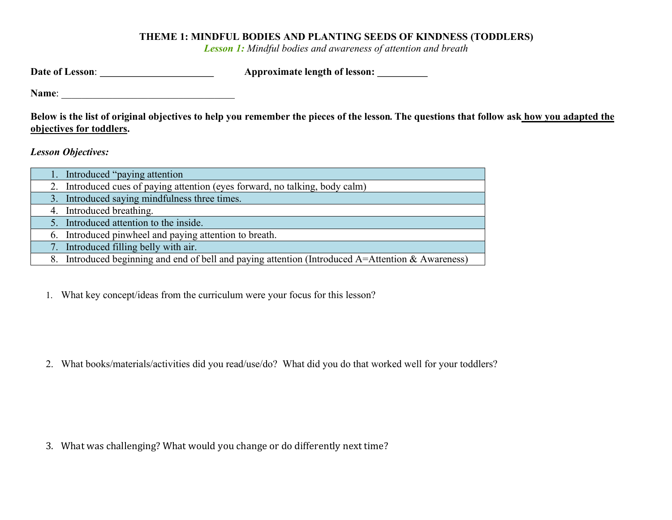## THEME 1: MINDFUL BODIES AND PLANTING SEEDS OF KINDNESS (TODDLERS)

**Lesson 1:** Mindful bodies and awareness of attention and breath

| Date of Lesson: | <b>Approximate length of lesson:</b> |
|-----------------|--------------------------------------|
|-----------------|--------------------------------------|

Name:

Below is the list of original objectives to help you remember the pieces of the lesson. The questions that follow ask how you adapted the objectives for toddlers.

Lesson Objectives:

|    | 1. Introduced "paying attention"                                                               |
|----|------------------------------------------------------------------------------------------------|
|    | 2. Introduced cues of paying attention (eyes forward, no talking, body calm)                   |
|    | 3. Introduced saying mindfulness three times.                                                  |
|    | 4. Introduced breathing.                                                                       |
| 5. | Introduced attention to the inside.                                                            |
|    | 6. Introduced pinwheel and paying attention to breath.                                         |
|    | 7. Introduced filling belly with air.                                                          |
| 8. | Introduced beginning and end of bell and paying attention (Introduced A=Attention & Awareness) |

1. What key concept/ideas from the curriculum were your focus for this lesson?

2. What books/materials/activities did you read/use/do? What did you do that worked well for your toddlers?

3. What was challenging? What would you change or do differently next time?